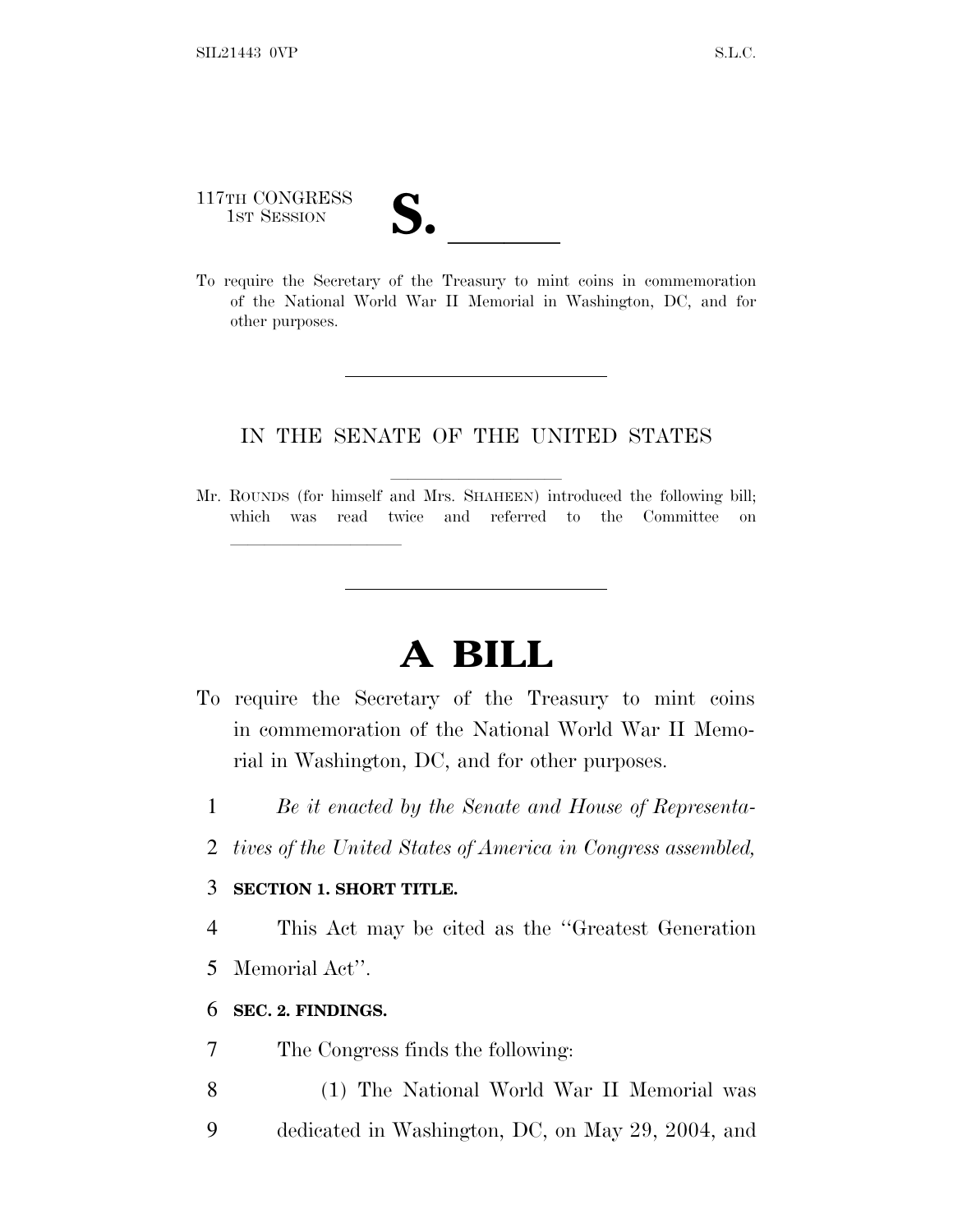# 117TH CONGRESS 117TH CONGRESS<br>
1ST SESSION<br>
To require the Secretary of the Treasury to mint coins in commemoration

of the National World War II Memorial in Washington, DC, and for other purposes.

# IN THE SENATE OF THE UNITED STATES

Mr. ROUNDS (for himself and Mrs. SHAHEEN) introduced the following bill; which was read twice and referred to the Committee on

# **A BILL**

- To require the Secretary of the Treasury to mint coins in commemoration of the National World War II Memorial in Washington, DC, and for other purposes.
	- 1 *Be it enacted by the Senate and House of Representa-*
	- 2 *tives of the United States of America in Congress assembled,*

#### 3 **SECTION 1. SHORT TITLE.**

lland and a state of the state of the state of the state of the state of the state of the state of the state o

4 This Act may be cited as the ''Greatest Generation 5 Memorial Act''.

#### 6 **SEC. 2. FINDINGS.**

- 7 The Congress finds the following:
- 8 (1) The National World War II Memorial was
- 9 dedicated in Washington, DC, on May 29, 2004, and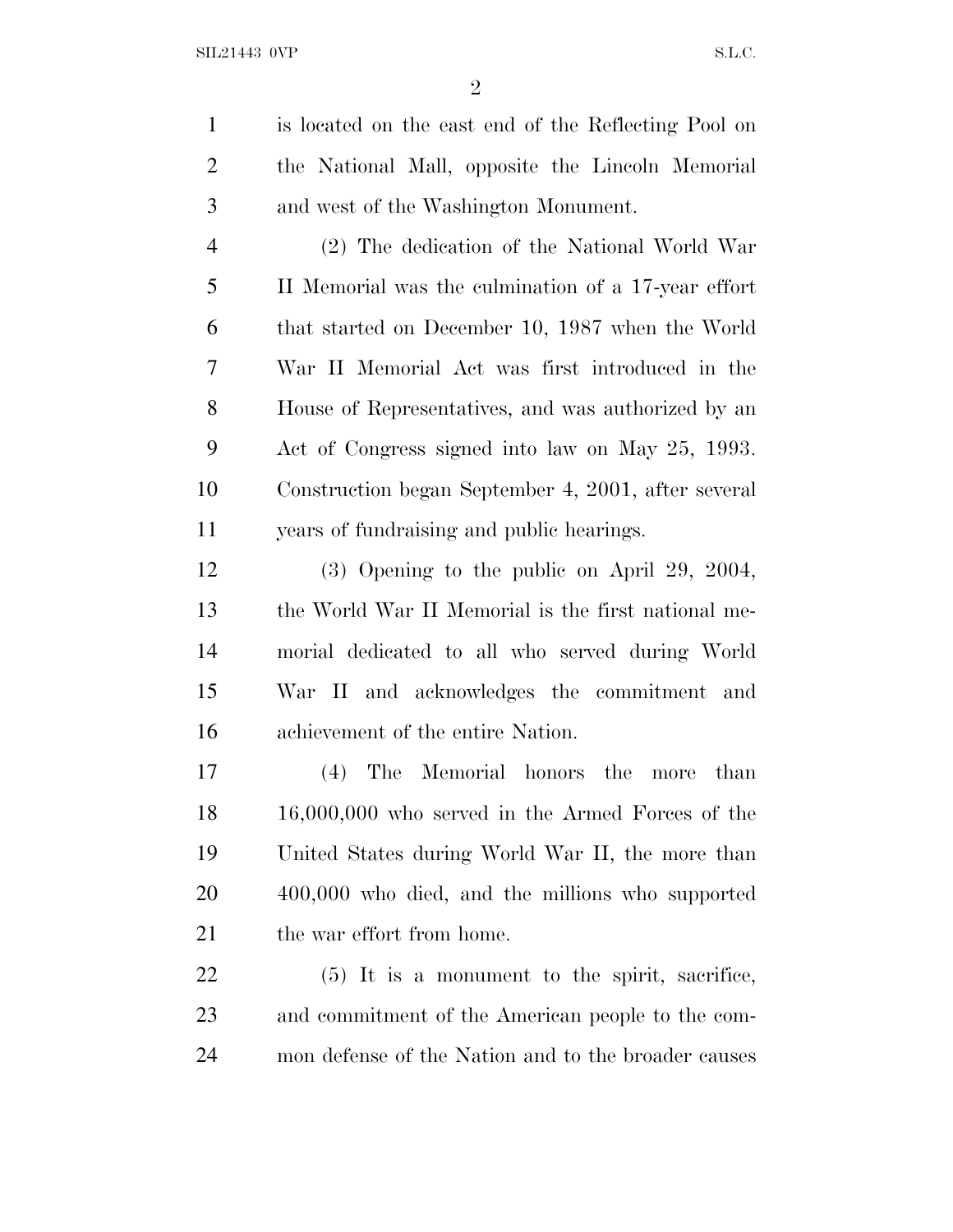is located on the east end of the Reflecting Pool on the National Mall, opposite the Lincoln Memorial and west of the Washington Monument.

 (2) The dedication of the National World War II Memorial was the culmination of a 17-year effort that started on December 10, 1987 when the World War II Memorial Act was first introduced in the House of Representatives, and was authorized by an Act of Congress signed into law on May 25, 1993. Construction began September 4, 2001, after several years of fundraising and public hearings.

 (3) Opening to the public on April 29, 2004, the World War II Memorial is the first national me- morial dedicated to all who served during World War II and acknowledges the commitment and achievement of the entire Nation.

 (4) The Memorial honors the more than 16,000,000 who served in the Armed Forces of the United States during World War II, the more than 400,000 who died, and the millions who supported 21 the war effort from home.

 (5) It is a monument to the spirit, sacrifice, and commitment of the American people to the com-mon defense of the Nation and to the broader causes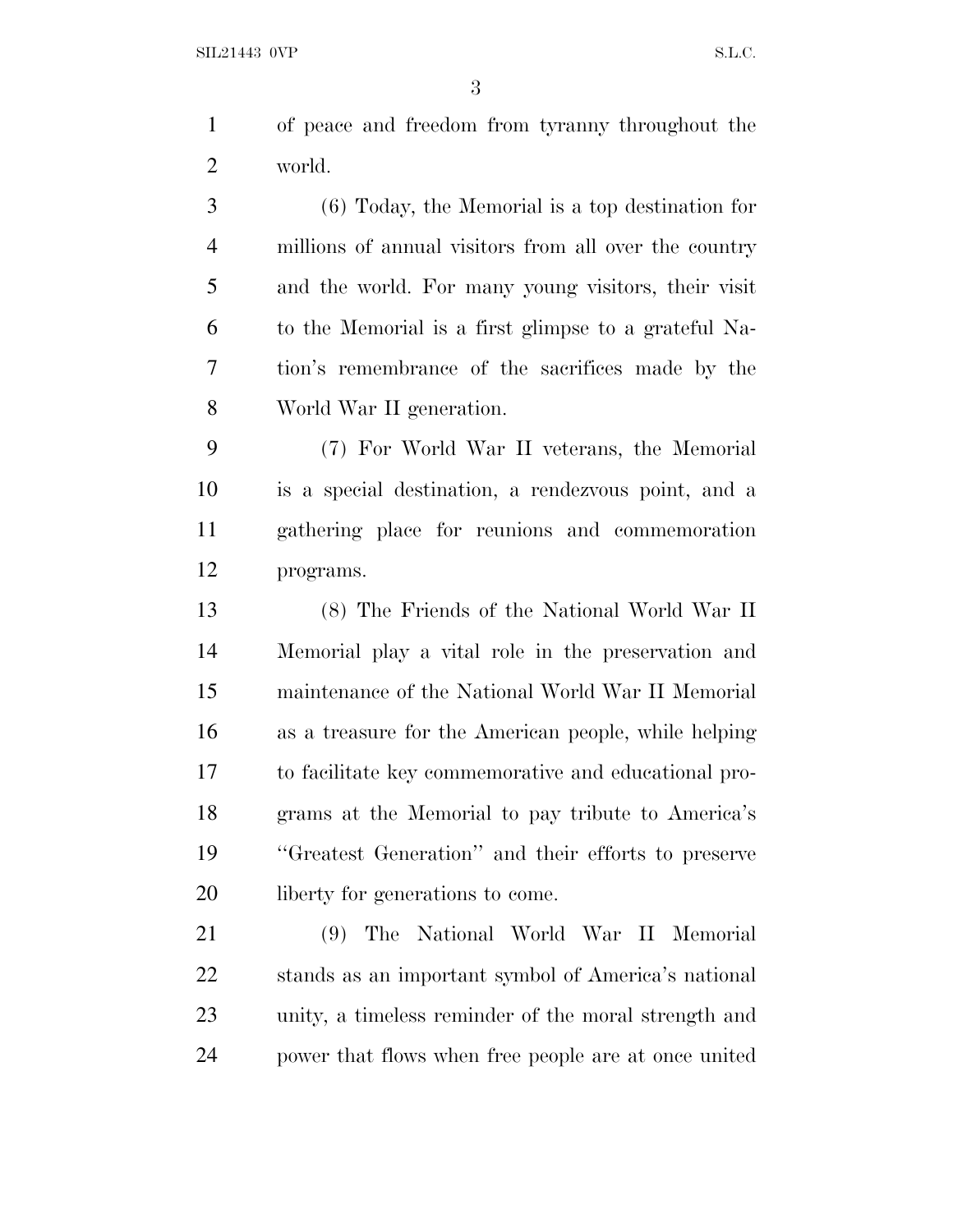of peace and freedom from tyranny throughout the world.

 (6) Today, the Memorial is a top destination for millions of annual visitors from all over the country and the world. For many young visitors, their visit to the Memorial is a first glimpse to a grateful Na- tion's remembrance of the sacrifices made by the World War II generation.

 (7) For World War II veterans, the Memorial is a special destination, a rendezvous point, and a gathering place for reunions and commemoration programs.

 (8) The Friends of the National World War II Memorial play a vital role in the preservation and maintenance of the National World War II Memorial as a treasure for the American people, while helping to facilitate key commemorative and educational pro- grams at the Memorial to pay tribute to America's ''Greatest Generation'' and their efforts to preserve 20 liberty for generations to come.

 (9) The National World War II Memorial stands as an important symbol of America's national unity, a timeless reminder of the moral strength and power that flows when free people are at once united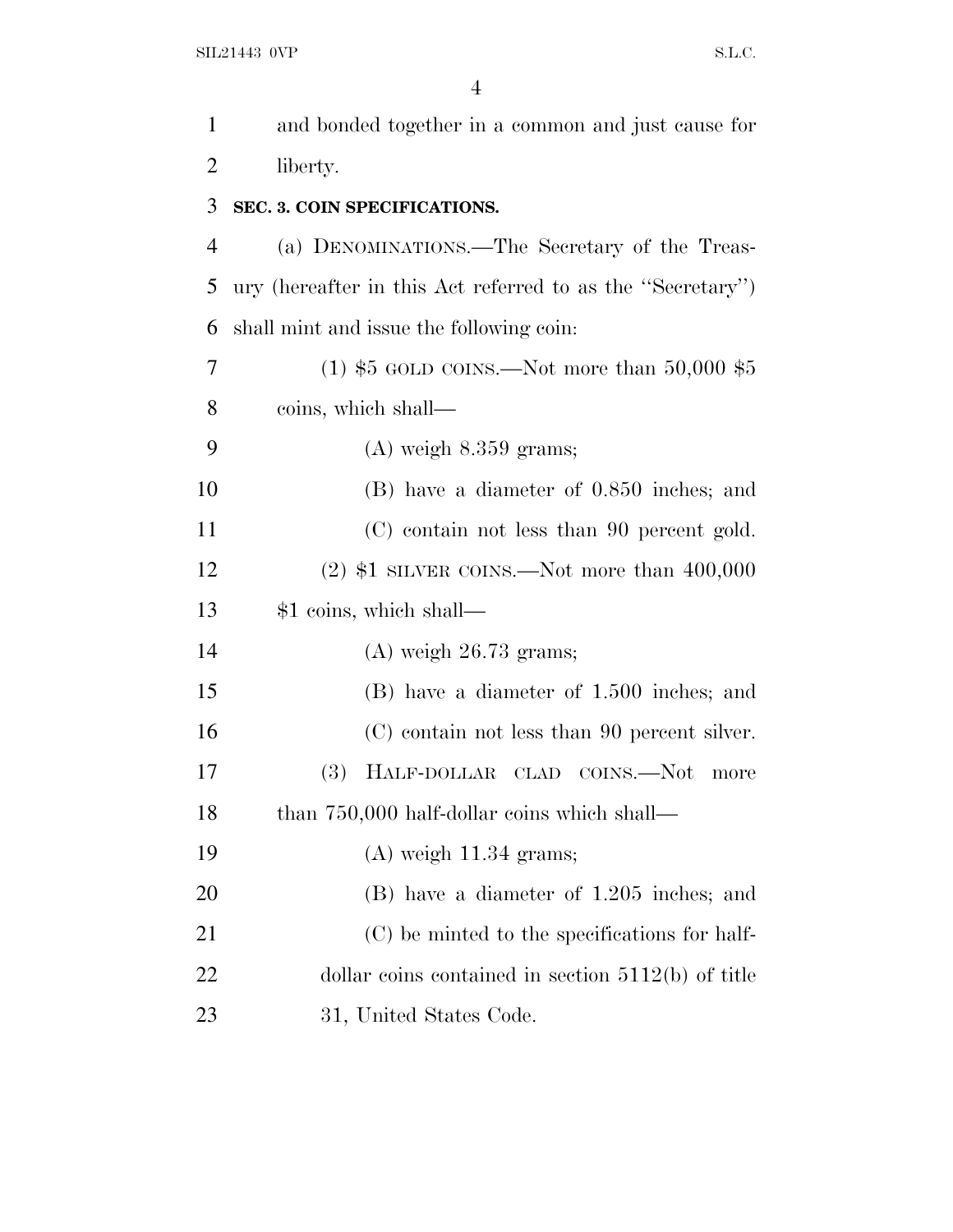| $\mathbf{1}$   | and bonded together in a common and just cause for         |
|----------------|------------------------------------------------------------|
| $\overline{2}$ | liberty.                                                   |
| 3              | SEC. 3. COIN SPECIFICATIONS.                               |
| $\overline{4}$ | (a) DENOMINATIONS.—The Secretary of the Treas-             |
| 5              | ury (hereafter in this Act referred to as the "Secretary") |
| 6              | shall mint and issue the following coin:                   |
| 7              | (1) $$5 \text{ GOLD CONS.}$ Not more than 50,000 $$5$      |
| 8              | coins, which shall—                                        |
| 9              | $(A)$ weigh $8.359$ grams;                                 |
| 10             | (B) have a diameter of 0.850 inches; and                   |
| 11             | (C) contain not less than 90 percent gold.                 |
| 12             | $(2)$ \$1 SILVER COINS.—Not more than 400,000              |
| 13             | \$1 coins, which shall—                                    |
| 14             | $(A)$ weigh 26.73 grams;                                   |
| 15             | (B) have a diameter of 1.500 inches; and                   |
| 16             | (C) contain not less than 90 percent silver.               |
| 17             | <b>(3)</b><br>HALF-DOLLAR CLAD COINS.—Not<br>more          |
| 18             | than 750,000 half-dollar coins which shall—                |
| 19             | $(A)$ weigh 11.34 grams;                                   |
| 20             | (B) have a diameter of 1.205 inches; and                   |
| 21             | (C) be minted to the specifications for half-              |
| 22             | dollar coins contained in section $5112(b)$ of title       |
| 23             | 31, United States Code.                                    |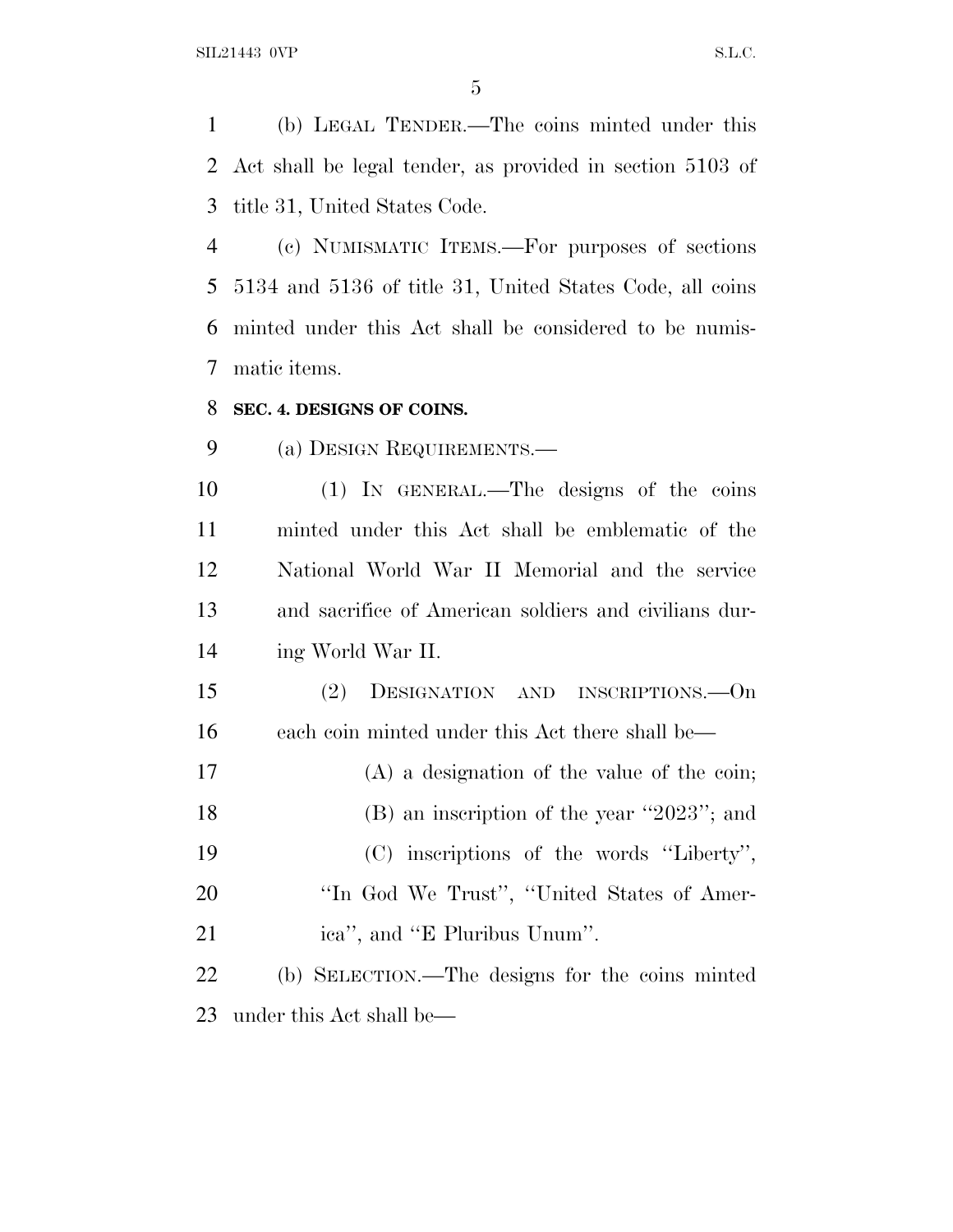(b) LEGAL TENDER.—The coins minted under this Act shall be legal tender, as provided in section 5103 of title 31, United States Code.

 (c) NUMISMATIC ITEMS.—For purposes of sections 5134 and 5136 of title 31, United States Code, all coins minted under this Act shall be considered to be numis-matic items.

#### **SEC. 4. DESIGNS OF COINS.**

(a) DESIGN REQUIREMENTS.—

 (1) IN GENERAL.—The designs of the coins minted under this Act shall be emblematic of the National World War II Memorial and the service and sacrifice of American soldiers and civilians dur-ing World War II.

 (2) DESIGNATION AND INSCRIPTIONS.—On each coin minted under this Act there shall be—

 (A) a designation of the value of the coin; (B) an inscription of the year ''2023''; and (C) inscriptions of the words ''Liberty'', 20 "In God We Trust", "United States of Amer-21 ica'', and "E Pluribus Unum".

 (b) SELECTION.—The designs for the coins minted under this Act shall be—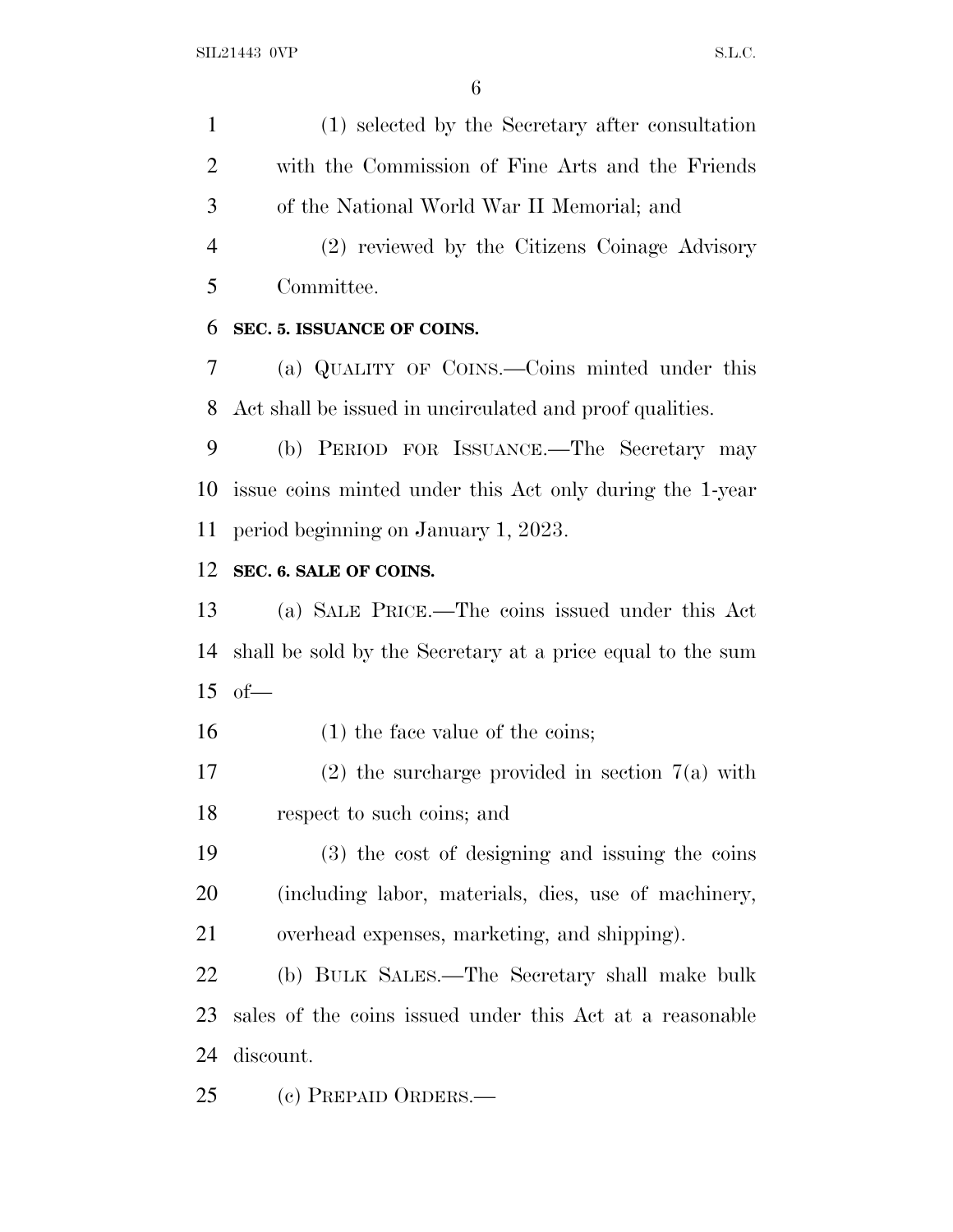(1) selected by the Secretary after consultation with the Commission of Fine Arts and the Friends of the National World War II Memorial; and

 (2) reviewed by the Citizens Coinage Advisory Committee.

## **SEC. 5. ISSUANCE OF COINS.**

 (a) QUALITY OF COINS.—Coins minted under this Act shall be issued in uncirculated and proof qualities.

 (b) PERIOD FOR ISSUANCE.—The Secretary may issue coins minted under this Act only during the 1-year period beginning on January 1, 2023.

## **SEC. 6. SALE OF COINS.**

 (a) SALE PRICE.—The coins issued under this Act shall be sold by the Secretary at a price equal to the sum of—

16 (1) the face value of the coins;

 (2) the surcharge provided in section 7(a) with respect to such coins; and

 (3) the cost of designing and issuing the coins (including labor, materials, dies, use of machinery, overhead expenses, marketing, and shipping).

 (b) BULK SALES.—The Secretary shall make bulk sales of the coins issued under this Act at a reasonable discount.

(c) PREPAID ORDERS.—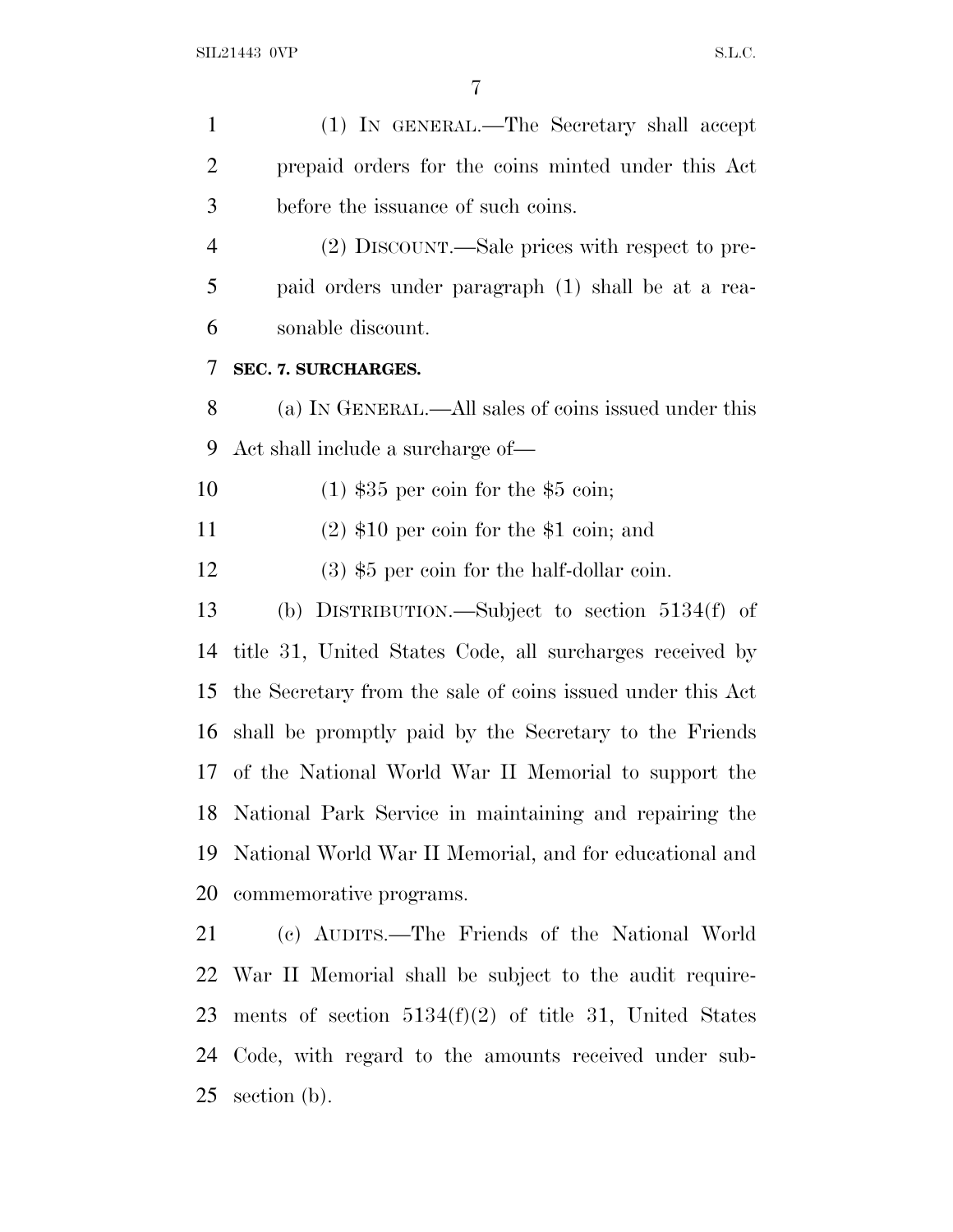| $\mathbf{1}$   | (1) IN GENERAL.—The Secretary shall accept                 |
|----------------|------------------------------------------------------------|
| $\overline{2}$ | prepaid orders for the coins minted under this Act         |
| 3              | before the issuance of such coins.                         |
| $\overline{4}$ | (2) DISCOUNT.—Sale prices with respect to pre-             |
| 5              | paid orders under paragraph (1) shall be at a rea-         |
| 6              | sonable discount.                                          |
| 7              | SEC. 7. SURCHARGES.                                        |
| 8              | (a) IN GENERAL.—All sales of coins issued under this       |
| 9              | Act shall include a surcharge of—                          |
| 10             | $(1)$ \$35 per coin for the \$5 coin;                      |
| 11             | $(2)$ \$10 per coin for the \$1 coin; and                  |
| 12             | $(3)$ \$5 per coin for the half-dollar coin.               |
| 13             | (b) DISTRIBUTION.—Subject to section $5134(f)$ of          |
| 14             | title 31, United States Code, all surcharges received by   |
| 15             | the Secretary from the sale of coins issued under this Act |
| 16             | shall be promptly paid by the Secretary to the Friends     |
| 17             | of the National World War II Memorial to support the       |
|                | 18 National Park Service in maintaining and repairing the  |
| 19             | National World War II Memorial, and for educational and    |
| 20             | commemorative programs.                                    |
| 21             | (c) AUDITS.—The Friends of the National World              |
|                | 22 War II Memorial shall be subject to the audit require-  |
| 23             | ments of section $5134(f)(2)$ of title 31, United States   |
| 24             | Code, with regard to the amounts received under sub-       |
| 25             | section (b).                                               |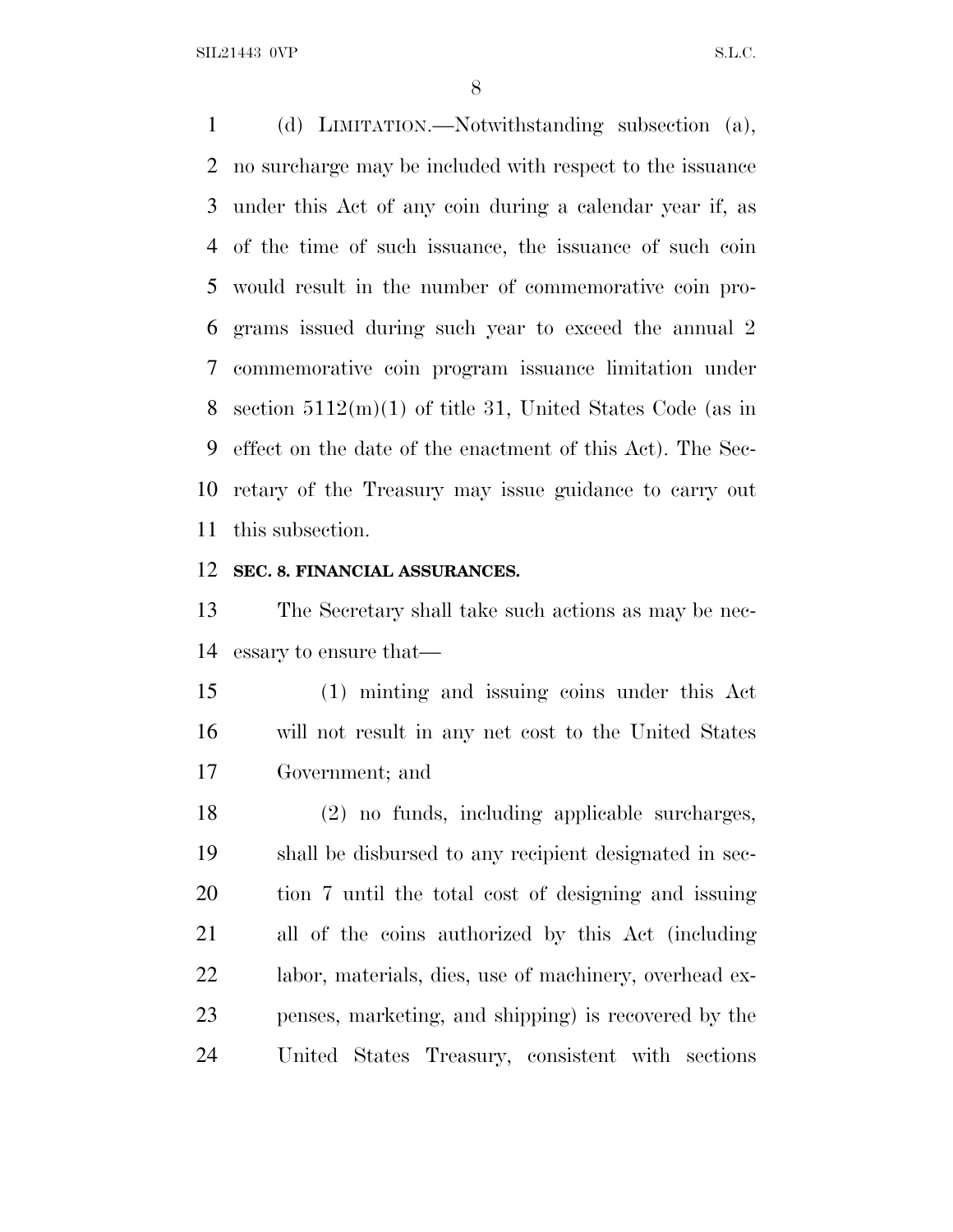SIL21443 OVP S.L.C.

 (d) LIMITATION.—Notwithstanding subsection (a), no surcharge may be included with respect to the issuance under this Act of any coin during a calendar year if, as of the time of such issuance, the issuance of such coin would result in the number of commemorative coin pro- grams issued during such year to exceed the annual 2 commemorative coin program issuance limitation under section 5112(m)(1) of title 31, United States Code (as in effect on the date of the enactment of this Act). The Sec- retary of the Treasury may issue guidance to carry out this subsection.

#### **SEC. 8. FINANCIAL ASSURANCES.**

 The Secretary shall take such actions as may be nec-essary to ensure that—

 (1) minting and issuing coins under this Act will not result in any net cost to the United States Government; and

 (2) no funds, including applicable surcharges, shall be disbursed to any recipient designated in sec- tion 7 until the total cost of designing and issuing all of the coins authorized by this Act (including labor, materials, dies, use of machinery, overhead ex- penses, marketing, and shipping) is recovered by the United States Treasury, consistent with sections